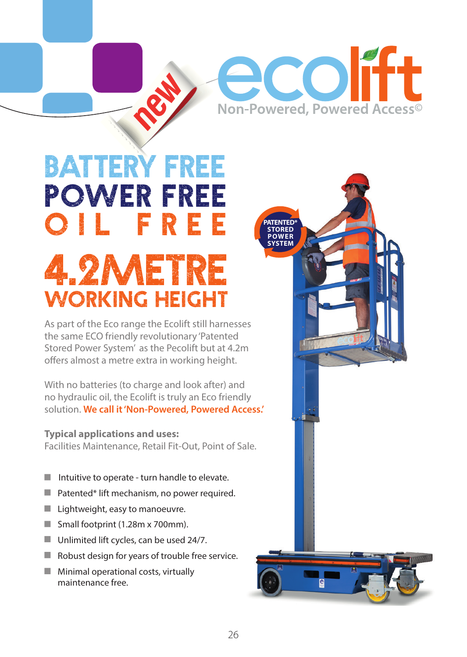# **ecolift** Non-Powered, Powered Access<sup>®</sup>

**PATENTED\* STORED POWER SYSTEM**

## BATTERY FREE POWER FREE OIL FREE 4.2Metre working Height

As part of the Eco range the Ecolift still harnesses the same ECO friendly revolutionary 'Patented Stored Power System' as the Pecolift but at 4.2m offers almost a metre extra in working height.

With no batteries (to charge and look after) and no hydraulic oil, the Ecolift is truly an Eco friendly solution. **We call it 'Non-Powered, Powered Access.'**

## **Typical applications and uses:**

Facilities Maintenance, Retail Fit-Out, Point of Sale.

- Intuitive to operate turn handle to elevate.
- Patented\* lift mechanism, no power required. п
- **Lightweight, easy to manoeuvre.**
- Small footprint (1.28m x 700mm).
- Unlimited lift cycles, can be used 24/7.
- п Robust design for years of trouble free service.
- $M$  Minimal operational costs, virtually maintenance free.